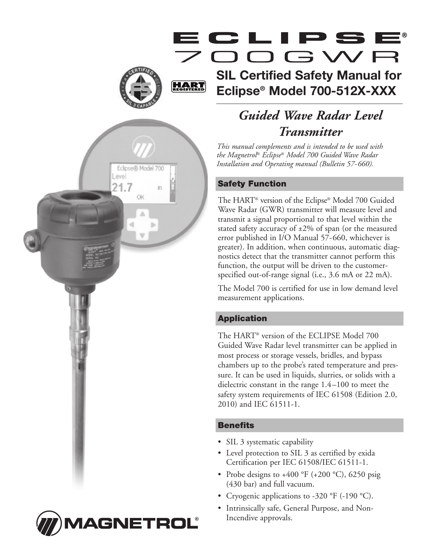# OOGWF

# **SIL Certified Safety Manual for Eclipse® Model 700-512X-XXX**

*Guided Wave Radar Level Transmitter*

*This manual complements and is intended to be used with the Magnetrol ® Eclipse® Model 700 Guided Wave Radar Installation and Operating manual (Bulletin 57-660).*

### **Safety Function**

**HART** 

Eclipse® Model 700

OK

Level 21.7

> The HART® version of the Eclipse® Model 700 Guided Wave Radar (GWR) transmitter will measure level and transmit a signal proportional to that level within the stated safety accuracy of  $\pm 2\%$  of span (or the measured error published in I/O Manual 57-660, whichever is greater). In addition, when continuous, automatic diagnostics detect that the transmitter cannot perform this function, the output will be driven to the customerspecified out-of-range signal (i.e., 3.6 mA or 22 mA).

> The Model 700 is certified for use in low demand level measurement applications.

### **Application**

The HART® version of the ECLIPSE Model 700 Guided Wave Radar level transmitter can be applied in most process or storage vessels, bridles, and bypass chambers up to the probe's rated temperature and pressure. It can be used in liquids, slurries, or solids with a dielectric constant in the range 1.4–100 to meet the safety system requirements of IEC 61508 (Edition 2.0, 2010) and IEC 61511-1.

### **Benefits**

- SIL 3 systematic capability
- Level protection to SIL 3 as certified by exida Certification per IEC 61508/IEC 61511-1.
- Probe designs to  $+400$  °F ( $+200$  °C), 6250 psig (430 bar) and full vacuum.
- Cryogenic applications to -320 °F (-190 °C).
- Intrinsically safe, General Purpose, and Non-Incendive approvals.

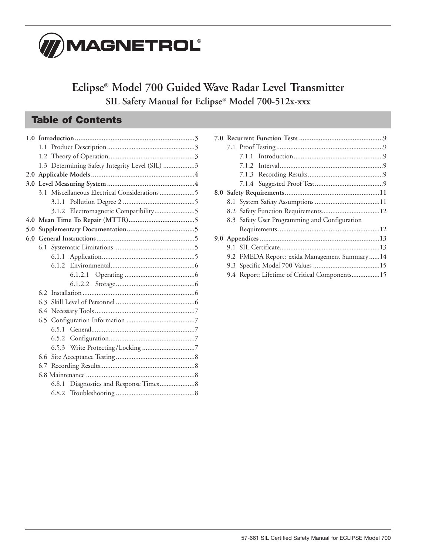

**Eclipse® Model 700 Guided Wave Radar Level Transmitter SIL Safety Manual for Eclipse® Model 700-512x-xxx**

# **Table of Contents**

|  |       | 1.3 Determining Safety Integrity Level (SIL) 3 |
|--|-------|------------------------------------------------|
|  |       |                                                |
|  |       |                                                |
|  |       | 3.1 Miscellaneous Electrical Considerations 5  |
|  |       |                                                |
|  |       |                                                |
|  |       |                                                |
|  |       |                                                |
|  |       |                                                |
|  |       |                                                |
|  |       |                                                |
|  | 6.1.2 |                                                |
|  |       |                                                |
|  |       |                                                |
|  |       |                                                |
|  |       |                                                |
|  |       |                                                |
|  |       |                                                |
|  |       |                                                |
|  |       |                                                |
|  |       |                                                |
|  |       |                                                |
|  |       |                                                |
|  |       |                                                |
|  | 6.8.1 |                                                |
|  |       |                                                |

|                                              | 8.2 Safety Function Requirements12            |  |  |
|----------------------------------------------|-----------------------------------------------|--|--|
|                                              | 8.3 Safety User Programming and Configuration |  |  |
|                                              |                                               |  |  |
|                                              |                                               |  |  |
|                                              |                                               |  |  |
| 9.2 FMEDA Report: exida Management Summary14 |                                               |  |  |
|                                              |                                               |  |  |
|                                              | 9.4 Report: Lifetime of Critical Components15 |  |  |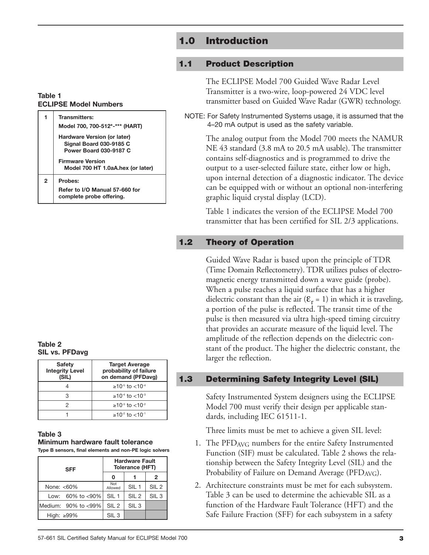# **1.0 Introduction**

### **1.1 Product Description**

The ECLIPSE Model 700 Guided Wave Radar Level Transmitter is a two-wire, loop-powered 24 VDC level transmitter based on Guided Wave Radar (GWR) technology.

NOTE: For Safety Instrumented Systems usage, it is assumed that the 4–20 mA output is used as the safety variable.

The analog output from the Model 700 meets the NAMUR NE 43 standard (3.8 mA to 20.5 mA usable). The transmitter contains self-diagnostics and is programmed to drive the output to a user-selected failure state, either low or high, upon internal detection of a diagnostic indicator. The device can be equipped with or without an optional non-interfering graphic liquid crystal display (LCD).

Table 1 indicates the version of the ECLIPSE Model 700 transmitter that has been certified for SIL 2/3 applications.

### **1.2 Theory of Operation**

Guided Wave Radar is based upon the principle of TDR (Time Domain Reflectometry). TDR utilizes pulses of electromagnetic energy transmitted down a wave guide (probe). When a pulse reaches a liquid surface that has a higher dielectric constant than the air  $(\mathcal{E}_r = 1)$  in which it is traveling, a portion of the pulse is reflected. The transit time of the pulse is then measured via ultra high-speed timing circuitry that provides an accurate measure of the liquid level. The amplitude of the reflection depends on the dielectric constant of the product. The higher the dielectric constant, the larger the reflection.

### **Table 1 ECLIPSE Model Numbers**

| 1                         | <b>Transmitters:</b><br>Model 700, 700-512*-*** (HART)                                         |  |
|---------------------------|------------------------------------------------------------------------------------------------|--|
|                           | Hardware Version (or later)<br><b>Signal Board 030-9185 C</b><br><b>Power Board 030-9187 C</b> |  |
|                           | <b>Firmware Version</b><br>Model 700 HT 1.0aA.hex (or later)                                   |  |
| $\overline{2}$<br>Probes: |                                                                                                |  |
|                           | Refer to I/O Manual 57-660 for<br>complete probe offering.                                     |  |

**Table 2 SIL vs. PFDavg**

| <b>Safety</b><br><b>Integrity Level</b><br>(SIL) | <b>Target Average</b><br>probability of failure<br>on demand (PFDavg) |
|--------------------------------------------------|-----------------------------------------------------------------------|
|                                                  | $>10^{-5}$ to $< 10^{-4}$                                             |
|                                                  | $>10^{-4}$ to $< 10^{-3}$                                             |
|                                                  | $>10^{-3}$ to $< 10^{-2}$                                             |
|                                                  | $>10^{-2}$ to $< 10^{-1}$                                             |

### **Table 3 Minimum hardware fault tolerance Type B sensors, final elements and non-PE logic solvers**

| SFF                                       | <b>Hardware Fault</b><br>Tolerance (HFT) |                  |                  |
|-------------------------------------------|------------------------------------------|------------------|------------------|
|                                           |                                          |                  | 2                |
| None: $< 60\%$                            | Not<br>Allowed                           | SIL <sub>1</sub> | SIL <sub>2</sub> |
| Low: $60\%$ to $< 90\%$                   | SIL <sub>1</sub>                         | SIL <sub>2</sub> | SIL <sub>3</sub> |
| IMedium: $90\%$ to $\langle 99\% \rangle$ | SIL <sub>2</sub>                         | SIL <sub>3</sub> |                  |
| High: $\geq 99\%$                         | SIL <sub>3</sub>                         |                  |                  |

### **1.3 Determining Safety Integrity Level (SIL)**

Safety Instrumented System designers using the ECLIPSE Model 700 must verify their design per applicable standards, including IEC 61511-1.

Three limits must be met to achieve a given SIL level:

- 1. The PFDAVG numbers for the entire Safety Instrumented Function (SIF) must be calculated. Table 2 shows the relationship between the Safety Integrity Level (SIL) and the Probability of Failure on Demand Average (PFD<sub>AVG</sub>).
- 2. Architecture constraints must be met for each subsystem. Table 3 can be used to determine the achievable SIL as a function of the Hardware Fault Tolerance (HFT) and the Safe Failure Fraction (SFF) for each subsystem in a safety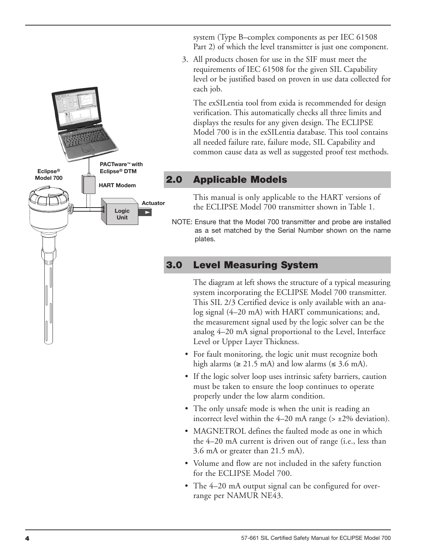system (Type B–complex components as per IEC 61508 Part 2) of which the level transmitter is just one component.

3. All products chosen for use in the SIF must meet the requirements of IEC 61508 for the given SIL Capability level or be justified based on proven in use data collected for each job.

The exSILentia tool from exida is recommended for design verification. This automatically checks all three limits and displays the results for any given design. The ECLIPSE Model 700 is in the exSILentia database. This tool contains all needed failure rate, failure mode, SIL Capability and common cause data as well as suggested proof test methods.

# **2.0 Applicable Models**

**Actuator**

 $\blacktriangleright$ 

**PACTware™ with Eclipse® DTM HART Modem**

> **Logic Unit**

**Eclipse® Model 700**

> This manual is only applicable to the HART versions of the ECLIPSE Model 700 transmitter shown in Table 1.

NOTE: Ensure that the Model 700 transmitter and probe are installed as a set matched by the Serial Number shown on the name plates.

# **3.0 Level Measuring System**

The diagram at left shows the structure of a typical measuring system incorporating the ECLIPSE Model 700 transmitter. This SIL 2/3 Certified device is only available with an analog signal (4–20 mA) with HART communications; and, the measurement signal used by the logic solver can be the analog 4–20 mA signal proportional to the Level, Interface Level or Upper Layer Thickness.

- For fault monitoring, the logic unit must recognize both high alarms ( $\geq$  21.5 mA) and low alarms ( $\leq$  3.6 mA).
- If the logic solver loop uses intrinsic safety barriers, caution must be taken to ensure the loop continues to operate properly under the low alarm condition.
- The only unsafe mode is when the unit is reading an incorrect level within the  $4-20$  mA range ( $> \pm 2\%$  deviation).
- MAGNETROL defines the faulted mode as one in which the 4–20 mA current is driven out of range (i.e., less than 3.6 mA or greater than 21.5 mA).
- Volume and flow are not included in the safety function for the ECLIPSE Model 700.
- The 4–20 mA output signal can be configured for overrange per NAMUR NE43.



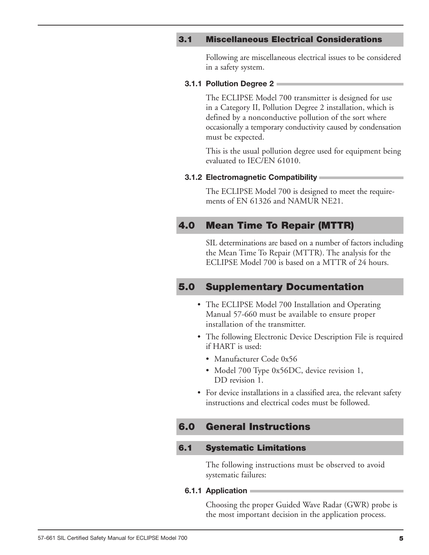### **3.1 Miscellaneous Electrical Considerations**

Following are miscellaneous electrical issues to be considered in a safety system.

### **3.1.1 Pollution Degree 2**

The ECLIPSE Model 700 transmitter is designed for use in a Category II, Pollution Degree 2 installation, which is defined by a nonconductive pollution of the sort where occasionally a temporary conductivity caused by condensation must be expected.

This is the usual pollution degree used for equipment being evaluated to IEC/EN 61010.

### **3.1.2 Electromagnetic Compatibility**

The ECLIPSE Model 700 is designed to meet the requirements of EN 61326 and NAMUR NE21.

### **4.0 Mean Time To Repair (MTTR)**

SIL determinations are based on a number of factors including the Mean Time To Repair (MTTR). The analysis for the ECLIPSE Model 700 is based on a MTTR of 24 hours.

### **5.0 Supplementary Documentation**

- The ECLIPSE Model 700 Installation and Operating Manual 57-660 must be available to ensure proper installation of the transmitter.
- The following Electronic Device Description File is required if HART is used:
	- Manufacturer Code 0x56
	- Model 700 Type 0x56DC, device revision 1, DD revision 1.
- For device installations in a classified area, the relevant safety instructions and electrical codes must be followed.

### **6.0 General Instructions**

### **6.1 Systematic Limitations**

The following instructions must be observed to avoid systematic failures:

### **6.1.1 Application**

Choosing the proper Guided Wave Radar (GWR) probe is the most important decision in the application process.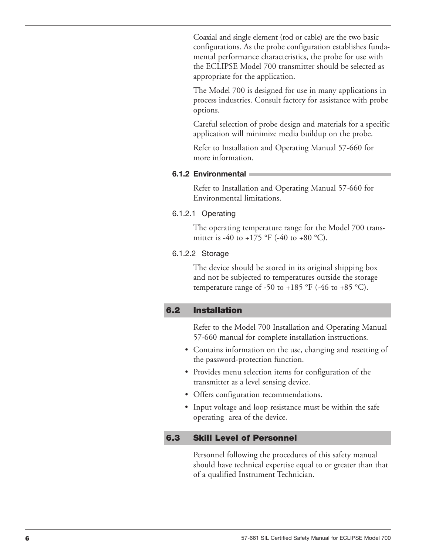Coaxial and single element (rod or cable) are the two basic configurations. As the probe configuration establishes fundamental performance characteristics, the probe for use with the ECLIPSE Model 700 transmitter should be selected as appropriate for the application.

The Model 700 is designed for use in many applications in process industries. Consult factory for assistance with probe options.

Careful selection of probe design and materials for a specific application will minimize media buildup on the probe.

Refer to Installation and Operating Manual 57-660 for more information.

### **6.1.2 Environmental**

Refer to Installation and Operating Manual 57-660 for Environmental limitations.

### 6.1.2.1 Operating

The operating temperature range for the Model 700 transmitter is -40 to +175 °F (-40 to +80 °C).

### 6.1.2.2 Storage

The device should be stored in its original shipping box and not be subjected to temperatures outside the storage temperature range of -50 to +185 °F (-46 to +85 °C).

### **6.2 Installation**

Refer to the Model 700 Installation and Operating Manual 57-660 manual for complete installation instructions.

- Contains information on the use, changing and resetting of the password-protection function.
- Provides menu selection items for configuration of the transmitter as a level sensing device.
- Offers configuration recommendations.
- Input voltage and loop resistance must be within the safe operating area of the device.

### **6.3 Skill Level of Personnel**

Personnel following the procedures of this safety manual should have technical expertise equal to or greater than that of a qualified Instrument Technician.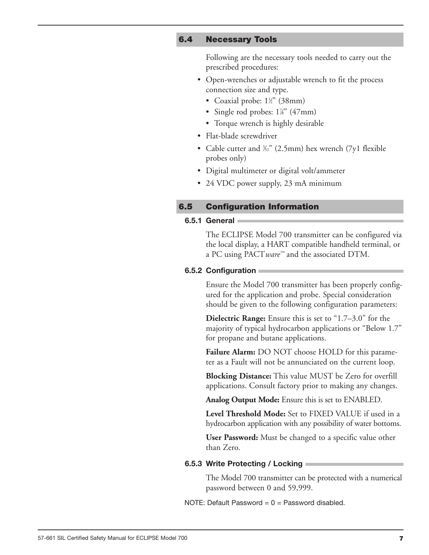### **6.4 Necessary Tools**

Following are the necessary tools needed to carry out the prescribed procedures:

- Open-wrenches or adjustable wrench to fit the process connection size and type.
	- Coaxial probe: 1<sup>1/2</sup>" (38mm)
	- Single rod probes:  $1\frac{7}{8}$ " (47mm)
	- Torque wrench is highly desirable
- Flat-blade screwdriver
- Cable cutter and <sup>3/3</sup><sup>"</sup> (2.5mm) hex wrench (7y1 flexible probes only)
- Digital multimeter or digital volt/ammeter
- 24 VDC power supply, 23 mA minimum

### **6.5 Configuration Information**

### **6.5.1 General**

The ECLIPSE Model 700 transmitter can be configured via the local display, a HART compatible handheld terminal, or a PC using PACT*ware™* and the associated DTM.

### **6.5.2 Configuration**

Ensure the Model 700 transmitter has been properly configured for the application and probe. Special consideration should be given to the following configuration parameters:

**Dielectric Range:** Ensure this is set to "1.7–3.0" for the majority of typical hydrocarbon applications or "Below 1.7" for propane and butane applications.

**Failure Alarm:** DO NOT choose HOLD for this parameter as a Fault will not be annunciated on the current loop.

**Blocking Distance:** This value MUST be Zero for overfill applications. Consult factory prior to making any changes.

**Analog Output Mode:** Ensure this is set to ENABLED.

**Level Threshold Mode:** Set to FIXED VALUE if used in a hydrocarbon application with any possibility of water bottoms.

**User Password:** Must be changed to a specific value other than Zero.

### **6.5.3 Write Protecting / Locking**

The Model 700 transmitter can be protected with a numerical password between 0 and 59,999.

NOTE: Default Password  $= 0 =$  Password disabled.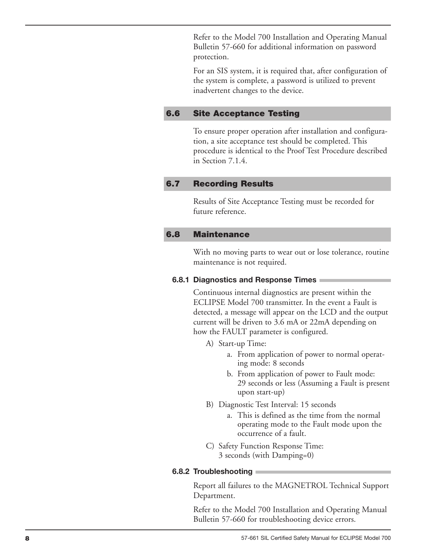Refer to the Model 700 Installation and Operating Manual Bulletin 57-660 for additional information on password protection.

For an SIS system, it is required that, after configuration of the system is complete, a password is utilized to prevent inadvertent changes to the device.

#### **6 . 6 Site Acceptance Testing**

To ensure proper operation after installation and configuration, a site acceptance test should be completed. This procedure is identical to the Proof Test Procedure described in Section 7.1.4.

#### **6 . 7 Recording Results**

Results of Site Acceptance Testing must be recorded for future reference.

#### **6 . 8 Maintenance**

With no moving parts to wear out or lose tolerance, routine maintenance is not required.

### 6.8.1 Diagnostics and Response Times

Continuous internal diagnostics are present within the ECLIPSE Model 700 transmitter. In the event a Fault is detected, a message will appear on the LCD and the output current will be driven to 3.6 mA or 22mA depending on how the FAULT parameter is configured.

- A) Start-up Time:
	- a. From application of power to normal operating mode: 8 seconds
	- b. From application of power to Fault mode: 29 seconds or less (Assuming a Fault is present upon start-up)
- B) Diagnostic Test Interval: 15 seconds
	- a. This is defined as the time from the normal operating mode to the Fault mode upon the occurrence of a fault.
- C) Safety Function Response Time: 3 seconds (with Damping=0)

### **6.8.2 Troubleshooting**

Report all failures to the MAGNETROL Technical Support Department.

Refer to the Model 700 Installation and Operating Manual Bulletin 57-660 for troubleshooting device errors.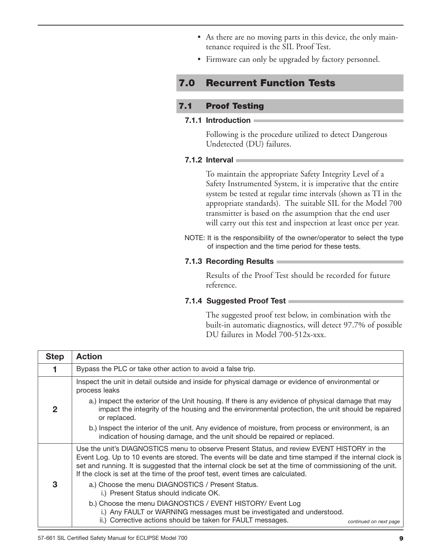- As there are no moving parts in this device, the only maintenance required is the SIL Proof Test.
- Firmware can only be upgraded by factory personnel.

# **7.0 Recurrent Function Tests**

### **7.1 Proof Testing**

### **7.1.1 Introduction**

Following is the procedure utilized to detect Dangerous Undetected (DU) failures.

### **7.1.2 Interval**

To maintain the appropriate Safety Integrity Level of a Safety Instrumented System, it is imperative that the entire system be tested at regular time intervals (shown as TI in the appropriate standards). The suitable SIL for the Model 700 transmitter is based on the assumption that the end user will carry out this test and inspection at least once per year.

NOTE: It is the responsibility of the owner/operator to select the type of inspection and the time period for these tests.

### **7.1.3 Recording Results**

Results of the Proof Test should be recorded for future reference.

### **7.1.4 Suggested Proof Test**

The suggested proof test below, in combination with the built-in automatic diagnostics, will detect 97.7% of possible DU failures in Model 700-512x-xxx.

| <b>Step</b> | <b>Action</b>                                                                                                                                                                                                                                                                                                                                                                                         |  |  |
|-------------|-------------------------------------------------------------------------------------------------------------------------------------------------------------------------------------------------------------------------------------------------------------------------------------------------------------------------------------------------------------------------------------------------------|--|--|
|             | Bypass the PLC or take other action to avoid a false trip.                                                                                                                                                                                                                                                                                                                                            |  |  |
|             | Inspect the unit in detail outside and inside for physical damage or evidence of environmental or<br>process leaks                                                                                                                                                                                                                                                                                    |  |  |
|             | a.) Inspect the exterior of the Unit housing. If there is any evidence of physical damage that may<br>impact the integrity of the housing and the environmental protection, the unit should be repaired<br>or replaced.                                                                                                                                                                               |  |  |
|             | b.) Inspect the interior of the unit. Any evidence of moisture, from process or environment, is an<br>indication of housing damage, and the unit should be repaired or replaced.                                                                                                                                                                                                                      |  |  |
|             | Use the unit's DIAGNOSTICS menu to observe Present Status, and review EVENT HISTORY in the<br>Event Log. Up to 10 events are stored. The events will be date and time stamped if the internal clock is<br>set and running. It is suggested that the internal clock be set at the time of commissioning of the unit.<br>If the clock is set at the time of the proof test, event times are calculated. |  |  |
| З           | a.) Choose the menu DIAGNOSTICS / Present Status.<br>i.) Present Status should indicate OK.                                                                                                                                                                                                                                                                                                           |  |  |
|             | b.) Choose the menu DIAGNOSTICS / EVENT HISTORY/ Event Log<br>i.) Any FAULT or WARNING messages must be investigated and understood.<br>ii.) Corrective actions should be taken for FAULT messages.<br>continued on next page                                                                                                                                                                         |  |  |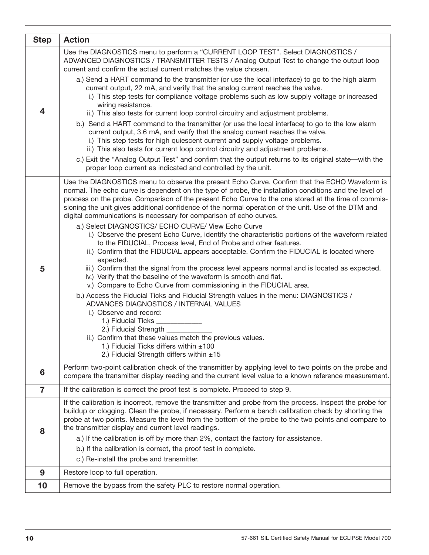| <b>Step</b>    | <b>Action</b>                                                                                                                                                                                                                                                                                                                                                                                                                                                                                                                                                                                                                                                                                                                                                                                                                                                                                                                                                                                                                                                                                                                                                                                                                                                                                                                                                                                                                                                    |
|----------------|------------------------------------------------------------------------------------------------------------------------------------------------------------------------------------------------------------------------------------------------------------------------------------------------------------------------------------------------------------------------------------------------------------------------------------------------------------------------------------------------------------------------------------------------------------------------------------------------------------------------------------------------------------------------------------------------------------------------------------------------------------------------------------------------------------------------------------------------------------------------------------------------------------------------------------------------------------------------------------------------------------------------------------------------------------------------------------------------------------------------------------------------------------------------------------------------------------------------------------------------------------------------------------------------------------------------------------------------------------------------------------------------------------------------------------------------------------------|
|                | Use the DIAGNOSTICS menu to perform a "CURRENT LOOP TEST". Select DIAGNOSTICS /<br>ADVANCED DIAGNOSTICS / TRANSMITTER TESTS / Analog Output Test to change the output loop<br>current and confirm the actual current matches the value chosen.                                                                                                                                                                                                                                                                                                                                                                                                                                                                                                                                                                                                                                                                                                                                                                                                                                                                                                                                                                                                                                                                                                                                                                                                                   |
| 4              | a.) Send a HART command to the transmitter (or use the local interface) to go to the high alarm<br>current output, 22 mA, and verify that the analog current reaches the valve.<br>i.) This step tests for compliance voltage problems such as low supply voltage or increased<br>wiring resistance.<br>ii.) This also tests for current loop control circuitry and adjustment problems.<br>b.) Send a HART command to the transmitter (or use the local interface) to go to the low alarm<br>current output, 3.6 mA, and verify that the analog current reaches the valve.<br>i.) This step tests for high quiescent current and supply voltage problems.                                                                                                                                                                                                                                                                                                                                                                                                                                                                                                                                                                                                                                                                                                                                                                                                       |
|                | ii.) This also tests for current loop control circuitry and adjustment problems.<br>c.) Exit the "Analog Output Test" and confirm that the output returns to its original state—with the<br>proper loop current as indicated and controlled by the unit.                                                                                                                                                                                                                                                                                                                                                                                                                                                                                                                                                                                                                                                                                                                                                                                                                                                                                                                                                                                                                                                                                                                                                                                                         |
| 5              | Use the DIAGNOSTICS menu to observe the present Echo Curve. Confirm that the ECHO Waveform is<br>normal. The echo curve is dependent on the type of probe, the installation conditions and the level of<br>process on the probe. Comparison of the present Echo Curve to the one stored at the time of commis-<br>sioning the unit gives additional confidence of the normal operation of the unit. Use of the DTM and<br>digital communications is necessary for comparison of echo curves.<br>a.) Select DIAGNOSTICS/ ECHO CURVE/ View Echo Curve<br>i.) Observe the present Echo Curve, identify the characteristic portions of the waveform related<br>to the FIDUCIAL, Process level, End of Probe and other features.<br>ii.) Confirm that the FIDUCIAL appears acceptable. Confirm the FIDUCIAL is located where<br>expected.<br>iii.) Confirm that the signal from the process level appears normal and is located as expected.<br>iv.) Verify that the baseline of the waveform is smooth and flat.<br>v.) Compare to Echo Curve from commissioning in the FIDUCIAL area.<br>b.) Access the Fiducial Ticks and Fiducial Strength values in the menu: DIAGNOSTICS /<br>ADVANCES DIAGNOSTICS / INTERNAL VALUES<br>i.) Observe and record:<br>1.) Fiducial Ticks _<br>2.) Fiducial Strength ______<br>ii.) Confirm that these values match the previous values.<br>1.) Fiducial Ticks differs within $\pm 100$<br>2.) Fiducial Strength differs within ±15 |
| 6              | Perform two-point calibration check of the transmitter by applying level to two points on the probe and<br>compare the transmitter display reading and the current level value to a known reference measurement.                                                                                                                                                                                                                                                                                                                                                                                                                                                                                                                                                                                                                                                                                                                                                                                                                                                                                                                                                                                                                                                                                                                                                                                                                                                 |
| $\overline{7}$ | If the calibration is correct the proof test is complete. Proceed to step 9.                                                                                                                                                                                                                                                                                                                                                                                                                                                                                                                                                                                                                                                                                                                                                                                                                                                                                                                                                                                                                                                                                                                                                                                                                                                                                                                                                                                     |
| 8              | If the calibration is incorrect, remove the transmitter and probe from the process. Inspect the probe for<br>buildup or clogging. Clean the probe, if necessary. Perform a bench calibration check by shorting the<br>probe at two points. Measure the level from the bottom of the probe to the two points and compare to<br>the transmitter display and current level readings.<br>a.) If the calibration is off by more than 2%, contact the factory for assistance.                                                                                                                                                                                                                                                                                                                                                                                                                                                                                                                                                                                                                                                                                                                                                                                                                                                                                                                                                                                          |
|                | b.) If the calibration is correct, the proof test in complete.<br>c.) Re-install the probe and transmitter.                                                                                                                                                                                                                                                                                                                                                                                                                                                                                                                                                                                                                                                                                                                                                                                                                                                                                                                                                                                                                                                                                                                                                                                                                                                                                                                                                      |
| 9              | Restore loop to full operation.                                                                                                                                                                                                                                                                                                                                                                                                                                                                                                                                                                                                                                                                                                                                                                                                                                                                                                                                                                                                                                                                                                                                                                                                                                                                                                                                                                                                                                  |
| 10             | Remove the bypass from the safety PLC to restore normal operation.                                                                                                                                                                                                                                                                                                                                                                                                                                                                                                                                                                                                                                                                                                                                                                                                                                                                                                                                                                                                                                                                                                                                                                                                                                                                                                                                                                                               |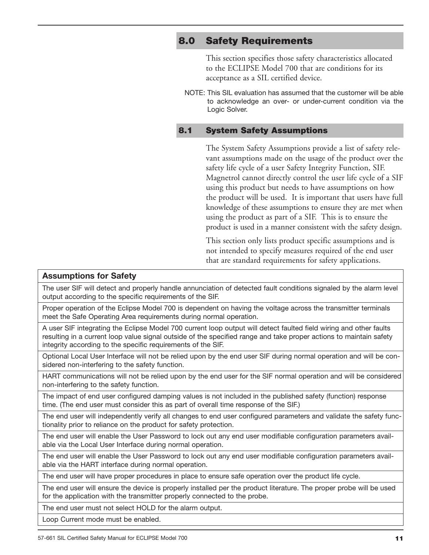# **8.0 Safety Requirements**

This section specifies those safety characteristics allocated to the ECLIPSE Model 700 that are conditions for its acceptance as a SIL certified device.

NOTE: This SIL evaluation has assumed that the customer will be able to acknowledge an over- or under-current condition via the Logic Solver.

### **8.1 System Safety Assumptions**

The System Safety Assumptions provide a list of safety relevant assumptions made on the usage of the product over the safety life cycle of a user Safety Integrity Function, SIF. Magnetrol cannot directly control the user life cycle of a SIF using this product but needs to have assumptions on how the product will be used. It is important that users have full knowledge of these assumptions to ensure they are met when using the product as part of a SIF. This is to ensure the product is used in a manner consistent with the safety design.

This section only lists product specific assumptions and is not intended to specify measures required of the end user that are standard requirements for safety applications.

### **Assumptions for Safety**

The user SIF will detect and properly handle annunciation of detected fault conditions signaled by the alarm level output according to the specific requirements of the SIF.

Proper operation of the Eclipse Model 700 is dependent on having the voltage across the transmitter terminals meet the Safe Operating Area requirements during normal operation.

A user SIF integrating the Eclipse Model 700 current loop output will detect faulted field wiring and other faults resulting in a current loop value signal outside of the specified range and take proper actions to maintain safety integrity according to the specific requirements of the SIF.

Optional Local User Interface will not be relied upon by the end user SIF during normal operation and will be considered non-interfering to the safety function.

HART communications will not be relied upon by the end user for the SIF normal operation and will be considered non-interfering to the safety function.

The impact of end user configured damping values is not included in the published safety (function) response time. (The end user must consider this as part of overall time response of the SIF.)

The end user will independently verify all changes to end user configured parameters and validate the safety functionality prior to reliance on the product for safety protection.

The end user will enable the User Password to lock out any end user modifiable configuration parameters available via the Local User Interface during normal operation.

The end user will enable the User Password to lock out any end user modifiable configuration parameters available via the HART interface during normal operation.

The end user will have proper procedures in place to ensure safe operation over the product life cycle.

The end user will ensure the device is properly installed per the product literature. The proper probe will be used for the application with the transmitter properly connected to the probe.

The end user must not select HOLD for the alarm output.

Loop Current mode must be enabled.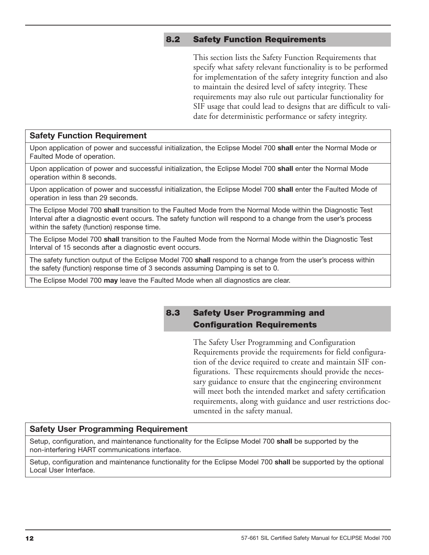### **8.2 Safety Function Requirements**

This section lists the Safety Function Requirements that specify what safety relevant functionality is to be performed for implementation of the safety integrity function and also to maintain the desired level of safety integrity. These requirements may also rule out particular functionality for SIF usage that could lead to designs that are difficult to validate for deterministic performance or safety integrity.

### **Safety Function Requirement**

Upon application of power and successful initialization, the Eclipse Model 700 **shall** enter the Normal Mode or Faulted Mode of operation.

Upon application of power and successful initialization, the Eclipse Model 700 **shall** enter the Normal Mode operation within 8 seconds.

Upon application of power and successful initialization, the Eclipse Model 700 **shall** enter the Faulted Mode of operation in less than 29 seconds.

The Eclipse Model 700 **shall** transition to the Faulted Mode from the Normal Mode within the Diagnostic Test Interval after a diagnostic event occurs. The safety function will respond to a change from the user's process within the safety (function) response time.

The Eclipse Model 700 **shall** transition to the Faulted Mode from the Normal Mode within the Diagnostic Test Interval of 15 seconds after a diagnostic event occurs.

The safety function output of the Eclipse Model 700 **shall** respond to a change from the user's process within the safety (function) response time of 3 seconds assuming Damping is set to 0.

The Eclipse Model 700 **may** leave the Faulted Mode when all diagnostics are clear.

### **8.3 Safety User Programming and Configuration Requirements**

The Safety User Programming and Configuration Requirements provide the requirements for field configuration of the device required to create and maintain SIF configurations. These requirements should provide the necessary guidance to ensure that the engineering environment will meet both the intended market and safety certification requirements, along with guidance and user restrictions documented in the safety manual.

### **Safety User Programming Requirement**

Setup, configuration, and maintenance functionality for the Eclipse Model 700 **shall** be supported by the non-interfering HART communications interface.

Setup, configuration and maintenance functionality for the Eclipse Model 700 **shall** be supported by the optional Local User Interface.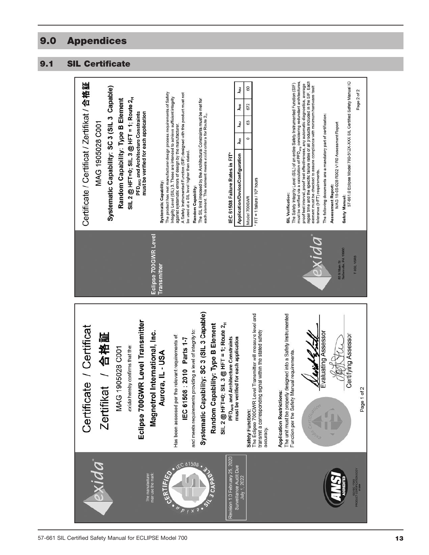# **9.0 Appendices**

# **9.1 SIL Certificate**

| Certificate / Certificat / Zertifikat / 合格証<br>Systematic Capability: SC 3 (SIL 3 Capable)<br>SIL 2 @ HFT=0; SIL 3 @ HFT = 1; Route $2_H$<br>Random Capability: Type B Element<br>PFD <sub>AVG</sub> and Architecture Constraints<br>MAG 1905028 C001 | 8<br>λoυ<br>The product has met manufacturer design process requirements of Safety<br>A Safety Instrumented Function (SIF) designed with this product must not<br>Integrity Level (SIL) 3. These are intended to achieve sufficient integrity<br>The SIL limit imposed by the Architectural Constraints must be met for<br>672<br><b>Joo</b><br>must be verified for each application<br>each element. This element meets exida criteria for Route 2 <sub>H</sub> .<br>63<br>$\lambda$ su<br>against systematic errors of design by the manufacturer.<br>0<br>Àsp<br>be used at a SIL level higher than stated.<br>IEC 61508 Failure Rates in FIT*<br>Application/Device/Configuration<br>$FIT = 1$ failure / $109$ hours<br><b>Systematic Capability:</b><br>Random Capability:<br>Model 700GWR | 57-661.0 Eclipse Model 700-512X-XXX SIL Certified Safety Manual IO<br>must be verified via a calculation of PFD <sub>ava</sub> considering redundant architectures,<br>repair time and the specific failure rates of all products included in the SIF. Each<br>The Safety Integrity Level (SIL) of an entire Safety Instrumented Function (SIF)<br>proof test interval, proof test effectiveness, any automatic diagnostics, average<br>element must be checked to assure compliance with minimum hardware fault<br>Page 2 of 2<br>The following documents are a mandatory part of certification:<br>MAG 19-05-028 R002 V1R0 Assessment Report<br>tolerance (HFT) requirements.<br>Assessment Report:<br><b>SIL Verification:</b><br><b>Safety Manual:</b> |
|-------------------------------------------------------------------------------------------------------------------------------------------------------------------------------------------------------------------------------------------------------|--------------------------------------------------------------------------------------------------------------------------------------------------------------------------------------------------------------------------------------------------------------------------------------------------------------------------------------------------------------------------------------------------------------------------------------------------------------------------------------------------------------------------------------------------------------------------------------------------------------------------------------------------------------------------------------------------------------------------------------------------------------------------------------------------|------------------------------------------------------------------------------------------------------------------------------------------------------------------------------------------------------------------------------------------------------------------------------------------------------------------------------------------------------------------------------------------------------------------------------------------------------------------------------------------------------------------------------------------------------------------------------------------------------------------------------------------------------------------------------------------------------------------------------------------------------------|
| Eclipse 700GWR Level Transmitter<br>Certificate / Certificat<br>/ 合格証<br>exida hereby confirms that the:<br>MAG 1905028 C001<br><b>Zertifikat</b>                                                                                                     | Eclipse 700GWR Level<br><b>Transmitter</b><br>Systematic Capability: SC 3 (SIL 3 Capable)<br>The Eclipse 700GWR Level Transmitter will measure level and<br>SIL 2 @ HFT=0; SIL 3 @ HFT = 1; Route 2 <sub>H</sub><br>Random Capability: Type B Element<br>and meets requirements providing a level of integrity to:<br>Magnetrol International, Inc.<br>transmit a corresponding signal within the stated safety<br>Has been assessed per the relevant requirements of:<br>PFD <sub>AVG</sub> and Architecture Constraints<br>must be verified for each application<br>IEC 61508 : 2010 Parts 1-7<br>Aurora, IL - USA<br>Safety Function:<br>accuracy.                                                                                                                                            | D Z I N O<br>80 N Main St<br>Sellersville, PA 18960<br>T-002 V5R3<br>The unit must be properly designed into a Safety Instrumented<br>Evaluating Assessor<br>Certifying Assessor<br><u>Wava K.L.</u><br>Function per the Safety Manual requirements<br>Page 1 of 2<br><b>Application Restrictions:</b>                                                                                                                                                                                                                                                                                                                                                                                                                                                     |
| exida                                                                                                                                                                                                                                                 | Revision 1.0 February 25, 2020<br>61508<br>Surveillance Audit Due<br>CERTIFIED<br>The manufacturer<br>may use the mark:<br>July 1, 2022<br><b>J CAPP</b>                                                                                                                                                                                                                                                                                                                                                                                                                                                                                                                                                                                                                                         | PRODUCT CERTIFICATION BODY<br>PRODUCT CERTIFICATION BODY                                                                                                                                                                                                                                                                                                                                                                                                                                                                                                                                                                                                                                                                                                   |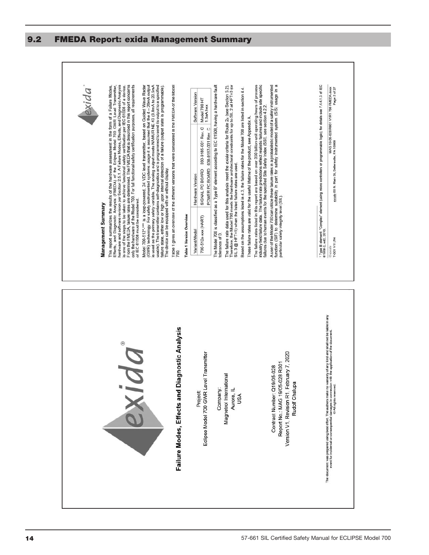

### **9.2 FMEDA Report: exida Management Summary**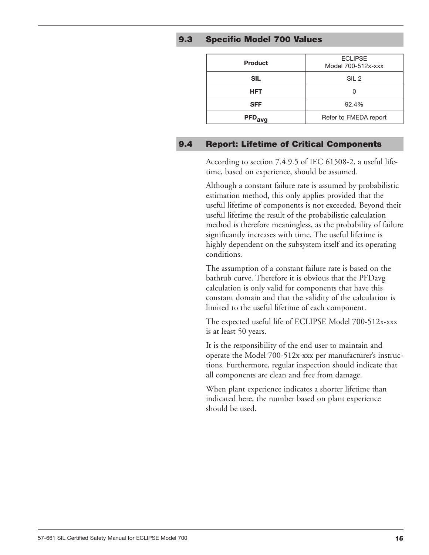### **9.3 Specific Model 700 Values**

| <b>Product</b>     | <b>ECLIPSE</b><br>Model 700-512x-xxx |
|--------------------|--------------------------------------|
| <b>SIL</b>         | SIL <sub>2</sub>                     |
| <b>HFT</b>         |                                      |
| <b>SFF</b>         | 92.4%                                |
| PFD <sub>avg</sub> | Refer to FMEDA report                |

### **9.4 Report: Lifetime of Critical Components**

According to section 7.4.9.5 of IEC 61508-2, a useful lifetime, based on experience, should be assumed.

Although a constant failure rate is assumed by probabilistic estimation method, this only applies provided that the useful lifetime of components is not exceeded. Beyond their useful lifetime the result of the probabilistic calculation method is therefore meaningless, as the probability of failure significantly increases with time. The useful lifetime is highly dependent on the subsystem itself and its operating conditions.

The assumption of a constant failure rate is based on the bathtub curve. Therefore it is obvious that the PFDavg calculation is only valid for components that have this constant domain and that the validity of the calculation is limited to the useful lifetime of each component.

The expected useful life of ECLIPSE Model 700-512x-xxx is at least 50 years.

It is the responsibility of the end user to maintain and operate the Model 700-512x-xxx per manufacturer's instructions. Furthermore, regular inspection should indicate that all components are clean and free from damage.

When plant experience indicates a shorter lifetime than indicated here, the number based on plant experience should be used.